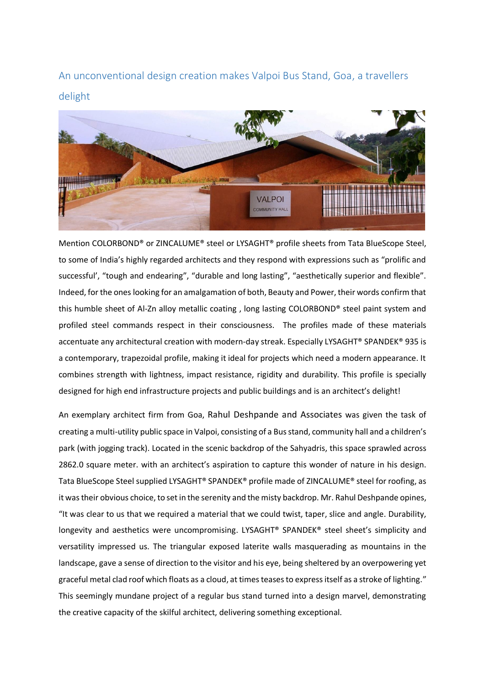An unconventional design creation makes Valpoi Bus Stand, Goa, a travellers delight



Mention COLORBOND® or ZINCALUME® steel or LYSAGHT® profile sheets from Tata BlueScope Steel, to some of India's highly regarded architects and they respond with expressions such as "prolific and successful', "tough and endearing", "durable and long lasting", "aesthetically superior and flexible". Indeed, for the ones looking for an amalgamation of both, Beauty and Power, their words confirm that this humble sheet of Al-Zn alloy metallic coating , long lasting COLORBOND® steel paint system and profiled steel commands respect in their consciousness. The profiles made of these materials accentuate any architectural creation with modern-day streak. Especially LYSAGHT® SPANDEK® 935 is a contemporary, trapezoidal profile, making it ideal for projects which need a modern appearance. It combines strength with lightness, impact resistance, rigidity and durability. This profile is specially designed for high end infrastructure projects and public buildings and is an architect's delight!

An exemplary architect firm from Goa, Rahul [Deshpande](http://www.archdaily.com/office/rahul-deshpande-and-associates) and Associates was given the task of creating a multi-utility public space in Valpoi, consisting of a Bus stand, community hall and a children's park (with jogging track). Located in the scenic backdrop of the Sahyadris, this space sprawled across 2862.0 square meter. with an architect's aspiration to capture this wonder of nature in his design. Tata BlueScope Steel supplied LYSAGHT® SPANDEK® profile made of ZINCALUME® steel for roofing, as it was their obvious choice, to set in the serenity and the misty backdrop. Mr. Rahul Deshpande opines, "It was clear to us that we required a material that we could twist, taper, slice and angle. Durability, longevity and aesthetics were uncompromising. LYSAGHT<sup>®</sup> SPANDEK<sup>®</sup> steel sheet's simplicity and versatility impressed us. The triangular exposed laterite walls masquerading as mountains in the landscape, gave a sense of direction to the visitor and his eye, being sheltered by an overpowering yet graceful metal clad roof which floats as a cloud, at times teases to express itself as a stroke of lighting." This seemingly mundane project of a regular bus stand turned into a design marvel, demonstrating the creative capacity of the skilful architect, delivering something exceptional.